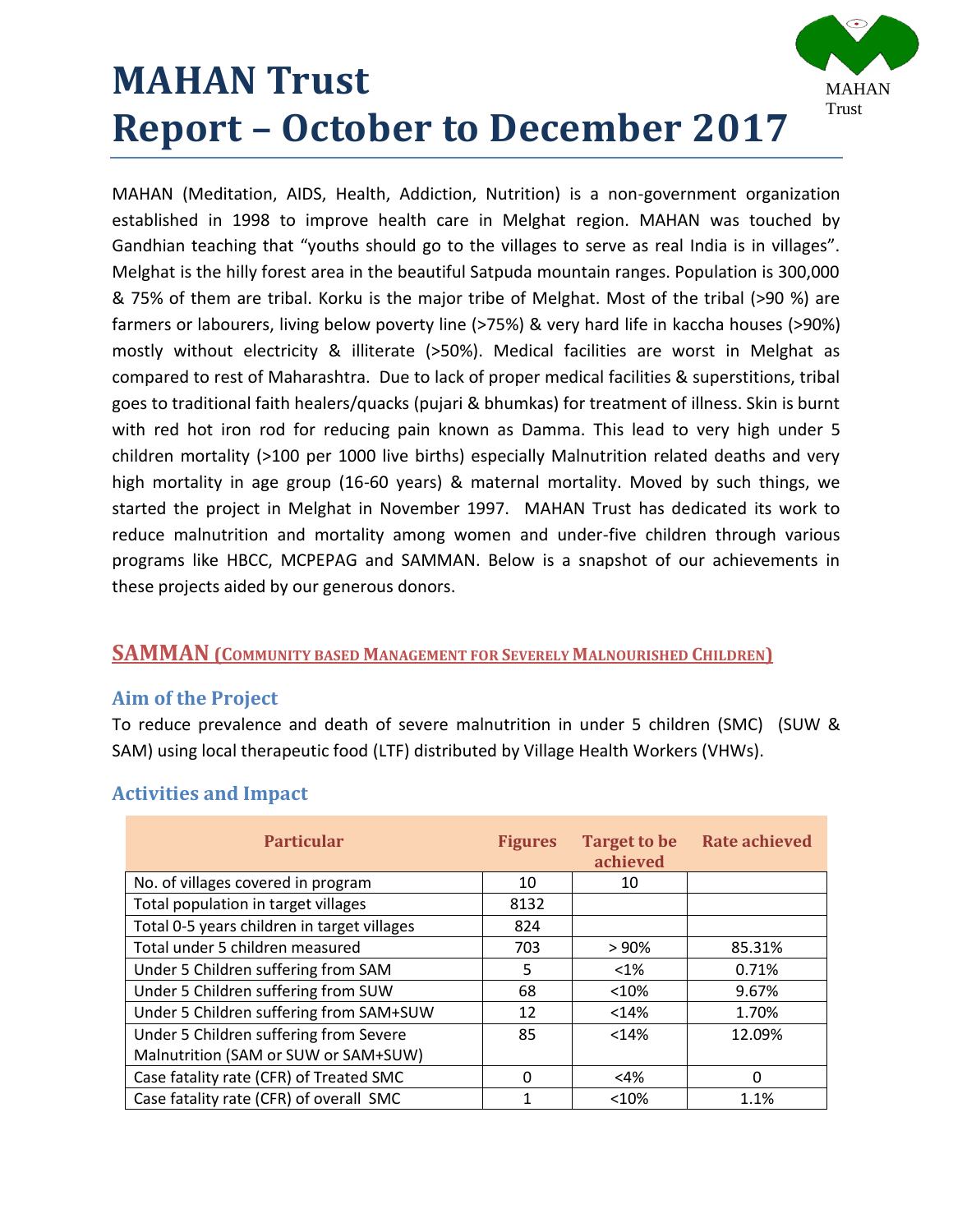# **MAHAN Trust Report – October to December 2017**

MAHAN Trust

MAHAN (Meditation, AIDS, Health, Addiction, Nutrition) is a non-government organization established in 1998 to improve health care in Melghat region. MAHAN was touched by Gandhian teaching that "youths should go to the villages to serve as real India is in villages". Melghat is the hilly forest area in the beautiful Satpuda mountain ranges. Population is 300,000 & 75% of them are tribal. Korku is the major tribe of Melghat. Most of the tribal (>90 %) are farmers or labourers, living below poverty line (>75%) & very hard life in kaccha houses (>90%) mostly without electricity & illiterate (>50%). Medical facilities are worst in Melghat as compared to rest of Maharashtra. Due to lack of proper medical facilities & superstitions, tribal goes to traditional faith healers/quacks (pujari & bhumkas) for treatment of illness. Skin is burnt with red hot iron rod for reducing pain known as Damma. This lead to very high under 5 children mortality (>100 per 1000 live births) especially Malnutrition related deaths and very high mortality in age group (16-60 years) & maternal mortality. Moved by such things, we started the project in Melghat in November 1997. MAHAN Trust has dedicated its work to reduce malnutrition and mortality among women and under-five children through various programs like HBCC, MCPEPAG and SAMMAN. Below is a snapshot of our achievements in these projects aided by our generous donors.

### **SAMMAN (COMMUNITY BASED MANAGEMENT FOR SEVERELY MALNOURISHED CHILDREN)**

### **Aim of the Project**

To reduce prevalence and death of severe malnutrition in under 5 children (SMC) (SUW & SAM) using local therapeutic food (LTF) distributed by Village Health Workers (VHWs).

| <b>Particular</b>                           | <b>Figures</b> | <b>Target to be</b><br>achieved | <b>Rate achieved</b> |
|---------------------------------------------|----------------|---------------------------------|----------------------|
| No. of villages covered in program          | 10             | 10                              |                      |
| Total population in target villages         | 8132           |                                 |                      |
| Total 0-5 years children in target villages | 824            |                                 |                      |
| Total under 5 children measured             | 703            | > 90%                           | 85.31%               |
| Under 5 Children suffering from SAM         | 5              | $<$ 1%                          | 0.71%                |
| Under 5 Children suffering from SUW         | 68             | < 10%                           | 9.67%                |
| Under 5 Children suffering from SAM+SUW     | 12             | < 14%                           | 1.70%                |
| Under 5 Children suffering from Severe      | 85             | < 14%                           | 12.09%               |
| Malnutrition (SAM or SUW or SAM+SUW)        |                |                                 |                      |
| Case fatality rate (CFR) of Treated SMC     | 0              | $<$ 4%                          | 0                    |
| Case fatality rate (CFR) of overall SMC     |                | < 10%                           | 1.1%                 |

### **Activities and Impact**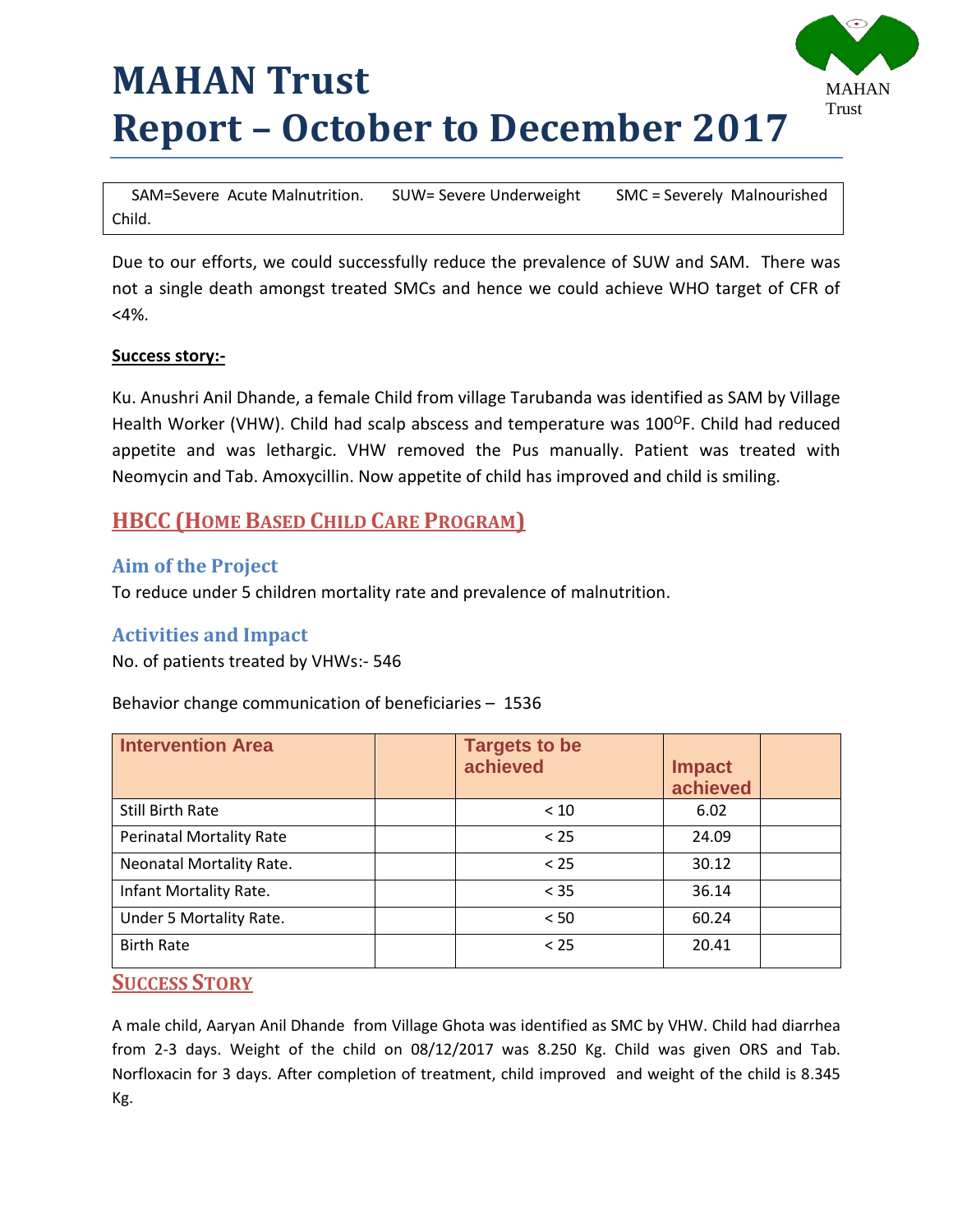# **MAHAN Trust Report – October to December 2017**



 SAM=Severe Acute Malnutrition. SUW= Severe Underweight SMC = Severely Malnourished Child.

Due to our efforts, we could successfully reduce the prevalence of SUW and SAM. There was not a single death amongst treated SMCs and hence we could achieve WHO target of CFR of <4%.

#### **Success story:-**

Ku. Anushri Anil Dhande, a female Child from village Tarubanda was identified as SAM by Village Health Worker (VHW). Child had scalp abscess and temperature was 100<sup>0</sup>F. Child had reduced appetite and was lethargic. VHW removed the Pus manually. Patient was treated with Neomycin and Tab. Amoxycillin. Now appetite of child has improved and child is smiling.

# **HBCC (HOME BASED CHILD CARE PROGRAM)**

### **Aim of the Project**

To reduce under 5 children mortality rate and prevalence of malnutrition.

### **Activities and Impact**

No. of patients treated by VHWs:- 546

#### Behavior change communication of beneficiaries – 1536

| <b>Intervention Area</b>        | <b>Targets to be</b><br>achieved | <b>Impact</b><br>achieved |
|---------------------------------|----------------------------------|---------------------------|
| Still Birth Rate                | < 10                             | 6.02                      |
| <b>Perinatal Mortality Rate</b> | < 25                             | 24.09                     |
| Neonatal Mortality Rate.        | < 25                             | 30.12                     |
| Infant Mortality Rate.          | < 35                             | 36.14                     |
| Under 5 Mortality Rate.         | < 50                             | 60.24                     |
| <b>Birth Rate</b>               | < 25                             | 20.41                     |

#### **SUCCESS STORY**

A male child, Aaryan Anil Dhande from Village Ghota was identified as SMC by VHW. Child had diarrhea from 2-3 days. Weight of the child on 08/12/2017 was 8.250 Kg. Child was given ORS and Tab. Norfloxacin for 3 days. After completion of treatment, child improved and weight of the child is 8.345 Kg.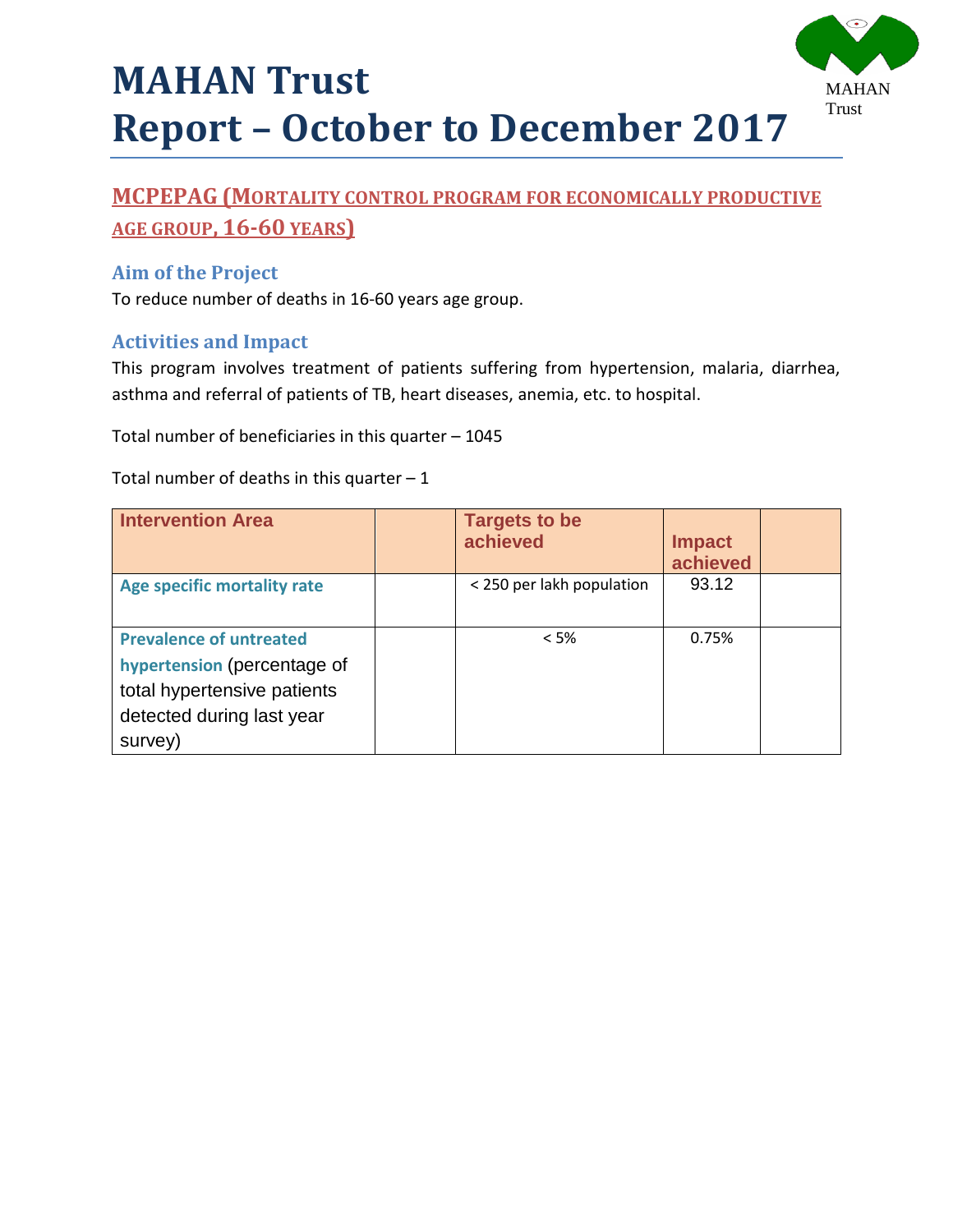

# **MCPEPAG (MORTALITY CONTROL PROGRAM FOR ECONOMICALLY PRODUCTIVE AGE GROUP, 16-60 YEARS)**

## **Aim of the Project**

To reduce number of deaths in 16-60 years age group.

#### **Activities and Impact**

This program involves treatment of patients suffering from hypertension, malaria, diarrhea, asthma and referral of patients of TB, heart diseases, anemia, etc. to hospital.

Total number of beneficiaries in this quarter – 1045

Total number of deaths in this quarter  $-1$ 

| <b>Intervention Area</b>                                                                                                             | <b>Targets to be</b><br>achieved | <b>Impact</b><br>achieved |  |
|--------------------------------------------------------------------------------------------------------------------------------------|----------------------------------|---------------------------|--|
| <b>Age specific mortality rate</b>                                                                                                   | < 250 per lakh population        | 93.12                     |  |
| <b>Prevalence of untreated</b><br>hypertension (percentage of<br>total hypertensive patients<br>detected during last year<br>survey) | $<$ 5%                           | 0.75%                     |  |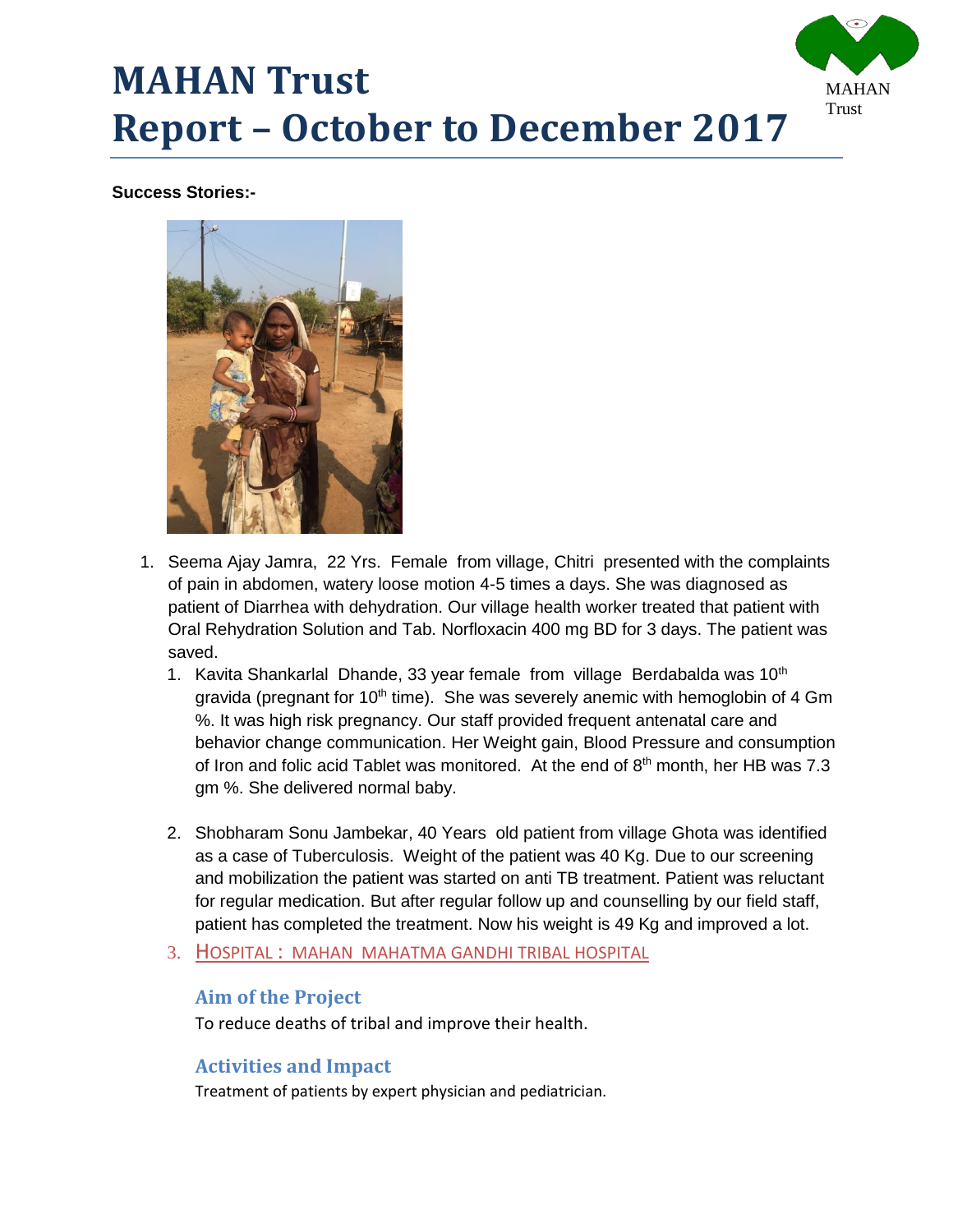

#### **Success Stories:-**



- 1. Seema Ajay Jamra, 22 Yrs. Female from village, Chitri presented with the complaints of pain in abdomen, watery loose motion 4-5 times a days. She was diagnosed as patient of Diarrhea with dehydration. Our village health worker treated that patient with Oral Rehydration Solution and Tab. Norfloxacin 400 mg BD for 3 days. The patient was saved.
	- 1. Kavita Shankarlal Dhande, 33 year female from village Berdabalda was 10<sup>th</sup> gravida (pregnant for  $10<sup>th</sup>$  time). She was severely anemic with hemoglobin of 4 Gm %. It was high risk pregnancy. Our staff provided frequent antenatal care and behavior change communication. Her Weight gain, Blood Pressure and consumption of Iron and folic acid Tablet was monitored. At the end of 8<sup>th</sup> month, her HB was 7.3 gm %. She delivered normal baby.
	- 2. Shobharam Sonu Jambekar, 40 Years old patient from village Ghota was identified as a case of Tuberculosis. Weight of the patient was 40 Kg. Due to our screening and mobilization the patient was started on anti TB treatment. Patient was reluctant for regular medication. But after regular follow up and counselling by our field staff, patient has completed the treatment. Now his weight is 49 Kg and improved a lot.
	- 3. HOSPITAL : MAHAN MAHATMA GANDHI TRIBAL HOSPITAL

#### **Aim of the Project**

To reduce deaths of tribal and improve their health.

#### **Activities and Impact**

Treatment of patients by expert physician and pediatrician.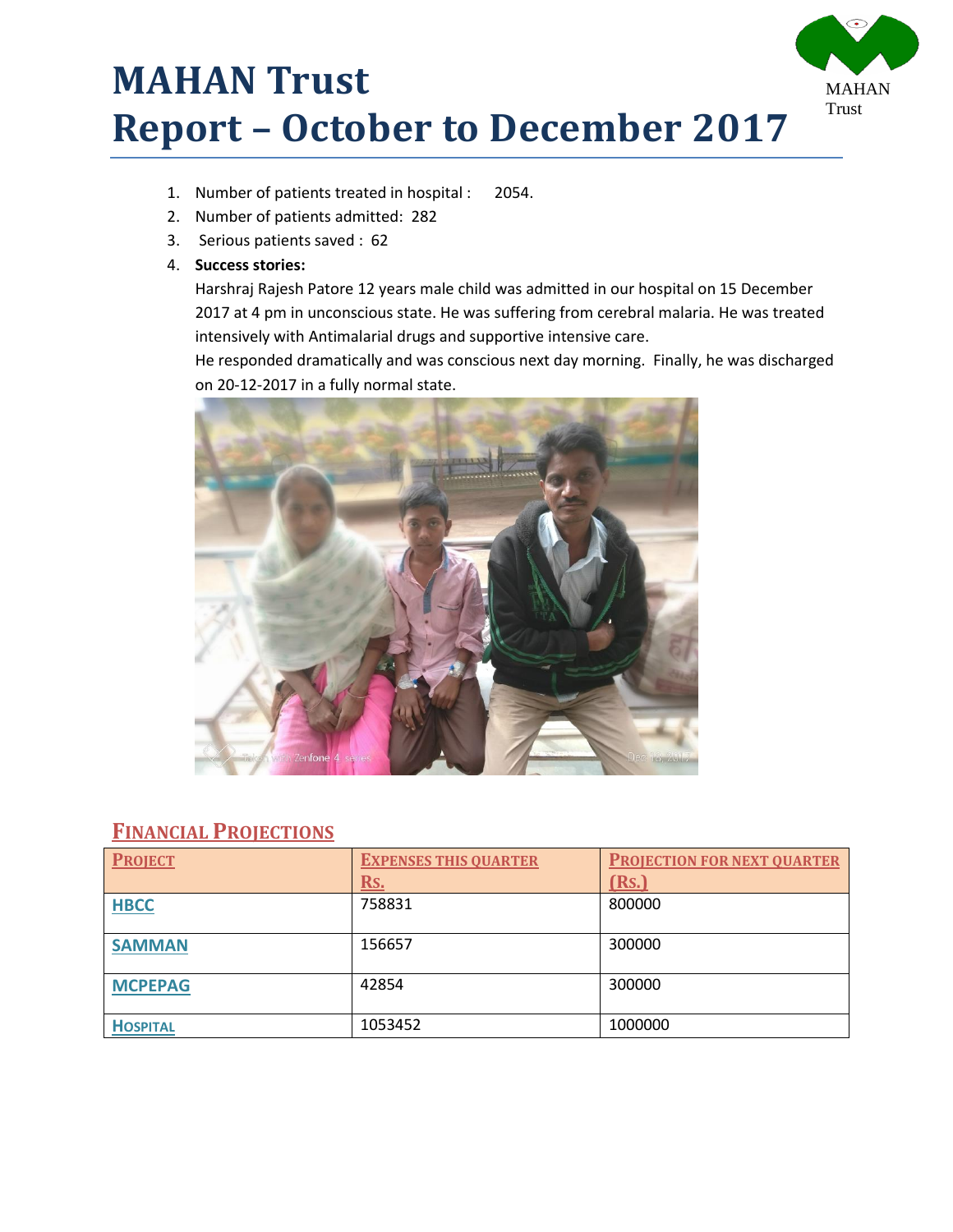# **MAHAN Trust Report – October to December 2017**



- 1. Number of patients treated in hospital : 2054.
- 2. Number of patients admitted: 282
- 3. Serious patients saved : 62
- 4. **Success stories:**

Harshraj Rajesh Patore 12 years male child was admitted in our hospital on 15 December 2017 at 4 pm in unconscious state. He was suffering from cerebral malaria. He was treated intensively with Antimalarial drugs and supportive intensive care.

He responded dramatically and was conscious next day morning. Finally, he was discharged on 20-12-2017 in a fully normal state.



### **FINANCIAL PROJECTIONS**

| <b>PROJECT</b>  | <b>EXPENSES THIS QUARTER</b> | <b>PROJECTION FOR NEXT QUARTER</b> |
|-----------------|------------------------------|------------------------------------|
|                 | Rs.                          | (Rs.)                              |
| <b>HBCC</b>     | 758831                       | 800000                             |
|                 |                              |                                    |
| <b>SAMMAN</b>   | 156657                       | 300000                             |
|                 |                              |                                    |
| <b>MCPEPAG</b>  | 42854                        | 300000                             |
|                 |                              |                                    |
| <b>HOSPITAL</b> | 1053452                      | 1000000                            |